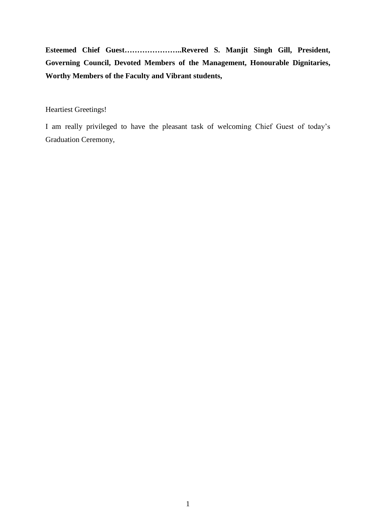**Esteemed Chief Guest…………………..Revered S. Manjit Singh Gill, President, Governing Council, Devoted Members of the Management, Honourable Dignitaries, Worthy Members of the Faculty and Vibrant students,** 

Heartiest Greetings!

I am really privileged to have the pleasant task of welcoming Chief Guest of today's Graduation Ceremony,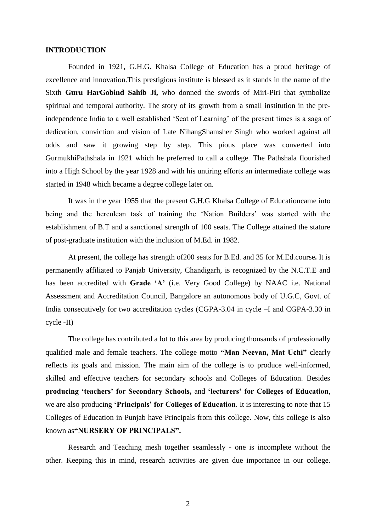#### **INTRODUCTION**

Founded in 1921, G.H.G. Khalsa College of Education has a proud heritage of excellence and innovation.This prestigious institute is blessed as it stands in the name of the Sixth **Guru HarGobind Sahib Ji,** who donned the swords of Miri-Piri that symbolize spiritual and temporal authority. The story of its growth from a small institution in the preindependence India to a well established 'Seat of Learning' of the present times is a saga of dedication, conviction and vision of Late NihangShamsher Singh who worked against all odds and saw it growing step by step. This pious place was converted into GurmukhiPathshala in 1921 which he preferred to call a college. The Pathshala flourished into a High School by the year 1928 and with his untiring efforts an intermediate college was started in 1948 which became a degree college later on.

It was in the year 1955 that the present G.H.G Khalsa College of Educationcame into being and the herculean task of training the 'Nation Builders' was started with the establishment of B.T and a sanctioned strength of 100 seats. The College attained the stature of post-graduate institution with the inclusion of M.Ed. in 1982.

At present, the college has strength of200 seats for B.Ed. and 35 for M.Ed.course**.** It is permanently affiliated to Panjab University, Chandigarh, is recognized by the N.C.T.E and has been accredited with **Grade 'A'** (i.e. Very Good College) by NAAC i.e. National Assessment and Accreditation Council, Bangalore an autonomous body of U.G.C, Govt. of India consecutively for two accreditation cycles (CGPA-3.04 in cycle –I and CGPA-3.30 in cycle -II)

The college has contributed a lot to this area by producing thousands of professionally qualified male and female teachers. The college motto **"Man Neevan, Mat Uchi"** clearly reflects its goals and mission. The main aim of the college is to produce well-informed, skilled and effective teachers for secondary schools and Colleges of Education. Besides **producing 'teachers' for Secondary Schools,** and **'lecturers' for Colleges of Education**, we are also producing **'Principals' for Colleges of Education**. It is interesting to note that 15 Colleges of Education in Punjab have Principals from this college. Now, this college is also known as**"NURSERY OF PRINCIPALS".**

Research and Teaching mesh together seamlessly - one is incomplete without the other. Keeping this in mind, research activities are given due importance in our college.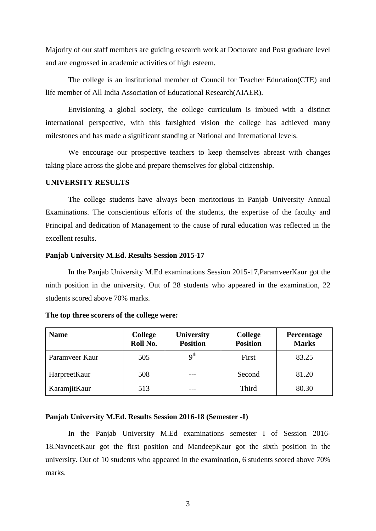Majority of our staff members are guiding research work at Doctorate and Post graduate level and are engrossed in academic activities of high esteem.

The college is an institutional member of Council for Teacher Education(CTE) and life member of All India Association of Educational Research(AIAER).

Envisioning a global society, the college curriculum is imbued with a distinct international perspective, with this farsighted vision the college has achieved many milestones and has made a significant standing at National and International levels.

We encourage our prospective teachers to keep themselves abreast with changes taking place across the globe and prepare themselves for global citizenship.

#### **UNIVERSITY RESULTS**

The college students have always been meritorious in Panjab University Annual Examinations. The conscientious efforts of the students, the expertise of the faculty and Principal and dedication of Management to the cause of rural education was reflected in the excellent results.

#### **Panjab University M.Ed. Results Session 2015-17**

In the Panjab University M.Ed examinations Session 2015-17,ParamveerKaur got the ninth position in the university. Out of 28 students who appeared in the examination, 22 students scored above 70% marks.

| <b>Name</b>    | <b>College</b><br>Roll No. | University<br><b>Position</b> | <b>College</b><br><b>Position</b> | Percentage<br><b>Marks</b> |
|----------------|----------------------------|-------------------------------|-----------------------------------|----------------------------|
| Paramveer Kaur | 505                        | q <sup>th</sup>               | First                             | 83.25                      |
| HarpreetKaur   | 508                        |                               | Second                            | 81.20                      |
| KaramjitKaur   | 513                        |                               | Third                             | 80.30                      |

#### **The top three scorers of the college were:**

#### **Panjab University M.Ed. Results Session 2016-18 (Semester -I)**

In the Panjab University M.Ed examinations semester I of Session 2016- 18.NavneetKaur got the first position and MandeepKaur got the sixth position in the university. Out of 10 students who appeared in the examination, 6 students scored above 70% marks.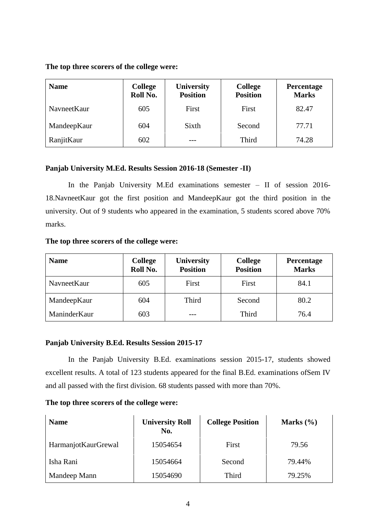### **The top three scorers of the college were:**

| <b>Name</b> | <b>College</b><br>Roll No. | <b>University</b><br><b>Position</b> | <b>College</b><br><b>Position</b> | Percentage<br><b>Marks</b> |
|-------------|----------------------------|--------------------------------------|-----------------------------------|----------------------------|
| NavneetKaur | 605                        | First                                | First                             | 82.47                      |
| MandeepKaur | 604                        | Sixth                                | Second                            | 77.71                      |
| RanjitKaur  | 602                        |                                      | Third                             | 74.28                      |

## **Panjab University M.Ed. Results Session 2016-18 (Semester -II)**

In the Panjab University M.Ed examinations semester – II of session 2016- 18.NavneetKaur got the first position and MandeepKaur got the third position in the university. Out of 9 students who appeared in the examination, 5 students scored above 70% marks.

### **The top three scorers of the college were:**

| <b>Name</b>  | <b>College</b><br>Roll No. | University<br><b>Position</b> | <b>College</b><br><b>Position</b> | Percentage<br><b>Marks</b> |
|--------------|----------------------------|-------------------------------|-----------------------------------|----------------------------|
| NavneetKaur  | 605                        | First                         | First                             | 84.1                       |
| MandeepKaur  | 604                        | Third                         | Second                            | 80.2                       |
| ManinderKaur | 603                        |                               | Third                             | 76.4                       |

### **Panjab University B.Ed. Results Session 2015-17**

In the Panjab University B.Ed. examinations session 2015-17, students showed excellent results. A total of 123 students appeared for the final B.Ed. examinations ofSem IV and all passed with the first division. 68 students passed with more than 70%.

### **The top three scorers of the college were:**

| <b>Name</b>         | <b>University Roll</b><br>No. | <b>College Position</b> | Marks $(\% )$ |
|---------------------|-------------------------------|-------------------------|---------------|
| HarmanjotKaurGrewal | 15054654                      | First                   | 79.56         |
| Isha Rani           | 15054664                      | Second                  | 79.44%        |
| Mandeep Mann        | 15054690                      | Third                   | 79.25%        |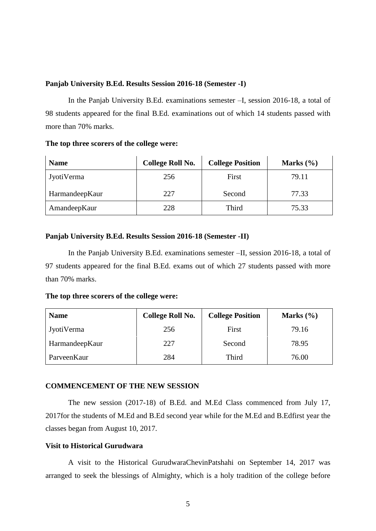#### **Panjab University B.Ed. Results Session 2016-18 (Semester -I)**

In the Panjab University B.Ed. examinations semester –I, session 2016-18, a total of 98 students appeared for the final B.Ed. examinations out of which 14 students passed with more than 70% marks.

**The top three scorers of the college were:** 

| <b>Name</b>       | <b>College Roll No.</b> | <b>College Position</b> | Marks $(\% )$ |
|-------------------|-------------------------|-------------------------|---------------|
| <b>JyotiVerma</b> | 256                     | First                   | 79.11         |
| HarmandeepKaur    | 227                     | Second                  | 77.33         |
| AmandeepKaur      | 228                     | Third                   | 75.33         |

### **Panjab University B.Ed. Results Session 2016-18 (Semester -II)**

In the Panjab University B.Ed. examinations semester –II, session 2016-18, a total of 97 students appeared for the final B.Ed. exams out of which 27 students passed with more than 70% marks.

**The top three scorers of the college were:** 

| <b>Name</b>    | <b>College Roll No.</b> | <b>College Position</b> | Marks $(\% )$ |
|----------------|-------------------------|-------------------------|---------------|
| Jyoti Verma    | 256                     | First                   | 79.16         |
| HarmandeepKaur | 227                     | Second                  | 78.95         |
| ParveenKaur    | 284                     | Third                   | 76.00         |

### **COMMENCEMENT OF THE NEW SESSION**

The new session (2017-18) of B.Ed. and M.Ed Class commenced from July 17, 2017for the students of M.Ed and B.Ed second year while for the M.Ed and B.Edfirst year the classes began from August 10, 2017.

### **Visit to Historical Gurudwara**

A visit to the Historical GurudwaraChevinPatshahi on September 14, 2017 was arranged to seek the blessings of Almighty, which is a holy tradition of the college before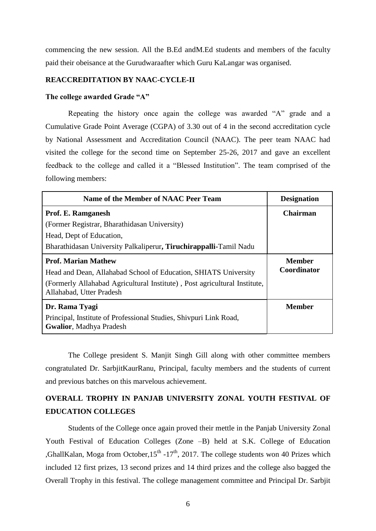commencing the new session. All the B.Ed andM.Ed students and members of the faculty paid their obeisance at the Gurudwaraafter which Guru KaLangar was organised.

### **REACCREDITATION BY NAAC-CYCLE-II**

### **The college awarded Grade "A"**

Repeating the history once again the college was awarded "A" grade and a Cumulative Grade Point Average (CGPA) of 3.30 out of 4 in the second accreditation cycle by National Assessment and Accreditation Council (NAAC). The peer team NAAC had visited the college for the second time on September 25-26, 2017 and gave an excellent feedback to the college and called it a "Blessed Institution". The team comprised of the following members:

| Name of the Member of NAAC Peer Team                                                                  | <b>Designation</b> |
|-------------------------------------------------------------------------------------------------------|--------------------|
| Prof. E. Ramganesh                                                                                    | Chairman           |
| (Former Registrar, Bharathidasan University)                                                          |                    |
| Head, Dept of Education,                                                                              |                    |
| Bharathidasan University Palkaliperur, Tiruchirappalli-Tamil Nadu                                     |                    |
| <b>Prof. Marian Mathew</b>                                                                            | <b>Member</b>      |
| Head and Dean, Allahabad School of Education, SHIATS University                                       | Coordinator        |
| (Formerly Allahabad Agricultural Institute), Post agricultural Institute,<br>Allahabad, Utter Pradesh |                    |
| Dr. Rama Tyagi                                                                                        | <b>Member</b>      |
| Principal, Institute of Professional Studies, Shivpuri Link Road,<br><b>Gwalior, Madhya Pradesh</b>   |                    |

The College president S. Manjit Singh Gill along with other committee members congratulated Dr. SarbjitKaurRanu, Principal, faculty members and the students of current and previous batches on this marvelous achievement.

# **OVERALL TROPHY IN PANJAB UNIVERSITY ZONAL YOUTH FESTIVAL OF EDUCATION COLLEGES**

Students of the College once again proved their mettle in the Panjab University Zonal Youth Festival of Education Colleges (Zone –B) held at S.K. College of Education ,GhallKalan, Moga from October,  $15<sup>th</sup> - 17<sup>th</sup>$ , 2017. The college students won 40 Prizes which included 12 first prizes, 13 second prizes and 14 third prizes and the college also bagged the Overall Trophy in this festival. The college management committee and Principal Dr. Sarbjit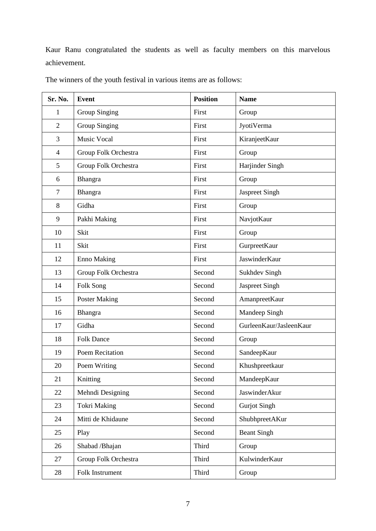Kaur Ranu congratulated the students as well as faculty members on this marvelous achievement.

| Sr. No.        | <b>Event</b>         | <b>Position</b> | <b>Name</b>             |
|----------------|----------------------|-----------------|-------------------------|
| 1              | <b>Group Singing</b> | First           | Group                   |
| $\overline{2}$ | <b>Group Singing</b> | First           | JyotiVerma              |
| 3              | <b>Music Vocal</b>   | First           | KiranjeetKaur           |
| $\overline{4}$ | Group Folk Orchestra | First           | Group                   |
| 5              | Group Folk Orchestra | First           | Harjinder Singh         |
| 6              | Bhangra              | First           | Group                   |
| $\tau$         | Bhangra              | First           | Jaspreet Singh          |
| 8              | Gidha                | First           | Group                   |
| 9              | Pakhi Making         | First           | NavjotKaur              |
| 10             | Skit                 | First           | Group                   |
| 11             | Skit                 | First           | GurpreetKaur            |
| 12             | <b>Enno Making</b>   | First           | JaswinderKaur           |
| 13             | Group Folk Orchestra | Second          | <b>Sukhdev Singh</b>    |
| 14             | Folk Song            | Second          | Jaspreet Singh          |
| 15             | <b>Poster Making</b> | Second          | AmanpreetKaur           |
| 16             | Bhangra              | Second          | Mandeep Singh           |
| 17             | Gidha                | Second          | GurleenKaur/JasleenKaur |
| 18             | <b>Folk Dance</b>    | Second          | Group                   |
| 19             | Poem Recitation      | Second          | SandeepKaur             |
| 20             | Poem Writing         | Second          | Khushpreetkaur          |
| 21             | Knitting             | Second          | MandeepKaur             |
| 22             | Mehndi Designing     | Second          | JaswinderAkur           |
| 23             | <b>Tokri Making</b>  | Second          | <b>Gurjot Singh</b>     |
| 24             | Mitti de Khidaune    | Second          | ShubhpreetAKur          |
| 25             | Play                 | Second          | <b>Beant Singh</b>      |
| 26             | Shabad / Bhajan      | Third           | Group                   |
| 27             | Group Folk Orchestra | Third           | KulwinderKaur           |
| 28             | Folk Instrument      | Third           | Group                   |

The winners of the youth festival in various items are as follows: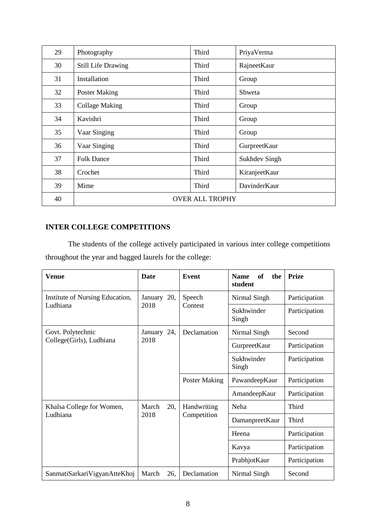| 29 | Photography               | Third                  | PriyaVerma           |
|----|---------------------------|------------------------|----------------------|
| 30 | <b>Still Life Drawing</b> | Third                  | RajneetKaur          |
| 31 | Installation              | Third                  | Group                |
| 32 | <b>Poster Making</b>      | Third                  | Shweta               |
| 33 | <b>Collage Making</b>     | Third                  | Group                |
| 34 | Kavishri                  | Third                  | Group                |
| 35 | Vaar Singing              | Third                  | Group                |
| 36 | Vaar Singing              | Third                  | GurpreetKaur         |
| 37 | <b>Folk Dance</b>         | Third                  | <b>Sukhdev Singh</b> |
| 38 | Crochet                   | Third                  | KiranjeetKaur        |
| 39 | Mime                      | Third                  | DavinderKaur         |
| 40 |                           | <b>OVER ALL TROPHY</b> |                      |

# **INTER COLLEGE COMPETITIONS**

The students of the college actively participated in various inter college competitions throughout the year and bagged laurels for the college:

| Venue                           | <b>Date</b>  | Event                | of<br>the<br><b>Name</b><br>student | <b>Prize</b>   |       |  |  |  |  |  |  |  |       |
|---------------------------------|--------------|----------------------|-------------------------------------|----------------|-------|--|--|--|--|--|--|--|-------|
| Institute of Nursing Education, | January 20,  | Speech               | Nirmal Singh                        | Participation  |       |  |  |  |  |  |  |  |       |
| Ludhiana                        | 2018         | Contest              | Sukhwinder<br>Singh                 | Participation  |       |  |  |  |  |  |  |  |       |
| Govt. Polytechnic               | January 24,  | Declamation          | Nirmal Singh                        | Second         |       |  |  |  |  |  |  |  |       |
| College(Girls), Ludhiana        | 2018         |                      | GurpreetKaur                        | Participation  |       |  |  |  |  |  |  |  |       |
|                                 |              |                      | Sukhwinder<br>Singh                 | Participation  |       |  |  |  |  |  |  |  |       |
|                                 |              | <b>Poster Making</b> | PawandeepKaur                       | Participation  |       |  |  |  |  |  |  |  |       |
|                                 |              |                      | AmandeepKaur                        | Participation  |       |  |  |  |  |  |  |  |       |
| Khalsa College for Women,       | March<br>20, | Handwriting          | Neha                                | Third          |       |  |  |  |  |  |  |  |       |
| Ludhiana                        | 2018         |                      | Competition                         | DamanpreetKaur | Third |  |  |  |  |  |  |  |       |
|                                 |              |                      | Heena                               | Participation  |       |  |  |  |  |  |  |  |       |
|                                 |              |                      |                                     |                |       |  |  |  |  |  |  |  | Kavya |
|                                 |              |                      | PrabhjotKaur                        | Participation  |       |  |  |  |  |  |  |  |       |
| SanmatiSarkariVigyanAtteKhoj    | March<br>26, | Declamation          | Nirmal Singh                        | Second         |       |  |  |  |  |  |  |  |       |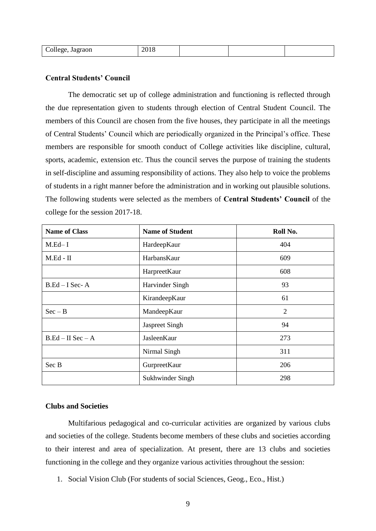| College,.<br>Jagraon |  |  |  |  |
|----------------------|--|--|--|--|
|----------------------|--|--|--|--|

#### **Central Students' Council**

The democratic set up of college administration and functioning is reflected through the due representation given to students through election of Central Student Council. The members of this Council are chosen from the five houses, they participate in all the meetings of Central Students' Council which are periodically organized in the Principal's office. These members are responsible for smooth conduct of College activities like discipline, cultural, sports, academic, extension etc. Thus the council serves the purpose of training the students in self-discipline and assuming responsibility of actions. They also help to voice the problems of students in a right manner before the administration and in working out plausible solutions. The following students were selected as the members of **Central Students' Council** of the college for the session 2017-18.

| <b>Name of Class</b> | <b>Name of Student</b> | Roll No.       |
|----------------------|------------------------|----------------|
| $M.Ed-I$             | HardeepKaur            | 404            |
| $M.Ed - II$          | HarbansKaur            | 609            |
|                      | HarpreetKaur           | 608            |
| $B.Ed-I Sec-A$       | Harvinder Singh        | 93             |
|                      | KirandeepKaur          | 61             |
| $Sec - B$            | MandeepKaur            | $\overline{2}$ |
|                      | Jaspreet Singh         | 94             |
| $B.Ed-II$ Sec $-A$   | JasleenKaur            | 273            |
|                      | Nirmal Singh           | 311            |
| Sec B                | GurpreetKaur           | 206            |
|                      | Sukhwinder Singh       | 298            |

### **Clubs and Societies**

Multifarious pedagogical and co-curricular activities are organized by various clubs and societies of the college. Students become members of these clubs and societies according to their interest and area of specialization. At present, there are 13 clubs and societies functioning in the college and they organize various activities throughout the session:

1. Social Vision Club (For students of social Sciences, Geog., Eco., Hist.)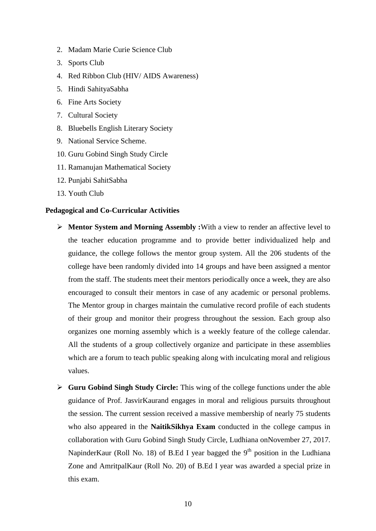- 2. Madam Marie Curie Science Club
- 3. Sports Club
- 4. Red Ribbon Club (HIV/ AIDS Awareness)
- 5. Hindi SahityaSabha
- 6. Fine Arts Society
- 7. Cultural Society
- 8. Bluebells English Literary Society
- 9. National Service Scheme.
- 10. Guru Gobind Singh Study Circle
- 11. Ramanujan Mathematical Society
- 12. Punjabi SahitSabha
- 13. Youth Club

#### **Pedagogical and Co-Curricular Activities**

- **Mentor System and Morning Assembly :**With a view to render an affective level to the teacher education programme and to provide better individualized help and guidance, the college follows the mentor group system. All the 206 students of the college have been randomly divided into 14 groups and have been assigned a mentor from the staff. The students meet their mentors periodically once a week, they are also encouraged to consult their mentors in case of any academic or personal problems. The Mentor group in charges maintain the cumulative record profile of each students of their group and monitor their progress throughout the session. Each group also organizes one morning assembly which is a weekly feature of the college calendar. All the students of a group collectively organize and participate in these assemblies which are a forum to teach public speaking along with inculcating moral and religious values.
- **Guru Gobind Singh Study Circle:** This wing of the college functions under the able guidance of Prof. JasvirKaurand engages in moral and religious pursuits throughout the session. The current session received a massive membership of nearly 75 students who also appeared in the **NaitikSikhya Exam** conducted in the college campus in collaboration with Guru Gobind Singh Study Circle, Ludhiana onNovember 27, 2017. NapinderKaur (Roll No. 18) of B.Ed I year bagged the  $9<sup>th</sup>$  position in the Ludhiana Zone and AmritpalKaur (Roll No. 20) of B.Ed I year was awarded a special prize in this exam.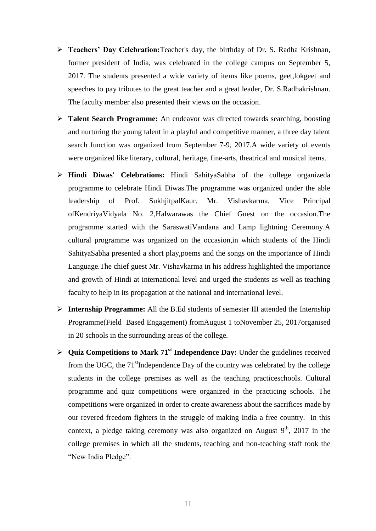- **Teachers' Day Celebration:**Teacher's day, the birthday of Dr. S. Radha Krishnan, former president of India, was celebrated in the college campus on September 5, 2017. The students presented a wide variety of items like poems, geet,lokgeet and speeches to pay tributes to the great teacher and a great leader, Dr. S.Radhakrishnan. The faculty member also presented their views on the occasion.
- **Talent Search Programme:** An endeavor was directed towards searching, boosting and nurturing the young talent in a playful and competitive manner, a three day talent search function was organized from September 7-9, 2017.A wide variety of events were organized like literary, cultural, heritage, fine-arts, theatrical and musical items.
- **Hindi Diwas' Celebrations:** Hindi SahityaSabha of the college organizeda programme to celebrate Hindi Diwas.The programme was organized under the able leadership of Prof. SukhjitpalKaur. Mr. Vishavkarma, Vice Principal ofKendriyaVidyala No. 2,Halwarawas the Chief Guest on the occasion.The programme started with the SaraswatiVandana and Lamp lightning Ceremony.A cultural programme was organized on the occasion,in which students of the Hindi SahityaSabha presented a short play,poems and the songs on the importance of Hindi Language.The chief guest Mr. Vishavkarma in his address highlighted the importance and growth of Hindi at international level and urged the students as well as teaching faculty to help in its propagation at the national and international level.
- **Internship Programme:** All the B.Ed students of semester III attended the Internship Programme(Field Based Engagement) fromAugust 1 toNovember 25, 2017organised in 20 schools in the surrounding areas of the college.
- **▶** Quiz Competitions to Mark 71<sup>st</sup> Independence Day: Under the guidelines received from the UGC, the  $71<sup>st</sup>$ Independence Day of the country was celebrated by the college students in the college premises as well as the teaching practiceschools. Cultural programme and quiz competitions were organized in the practicing schools. The competitions were organized in order to create awareness about the sacrifices made by our revered freedom fighters in the struggle of making India a free country. In this context, a pledge taking ceremony was also organized on August  $9<sup>th</sup>$ , 2017 in the college premises in which all the students, teaching and non-teaching staff took the "New India Pledge".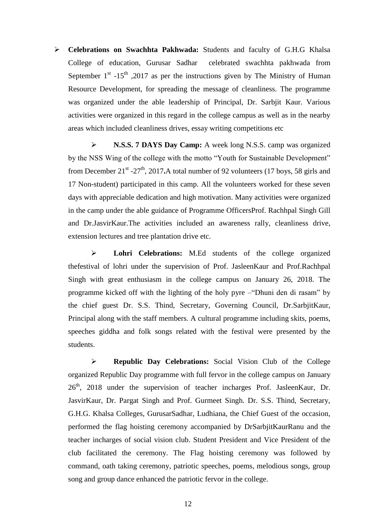**Celebrations on Swachhta Pakhwada:** Students and faculty of G.H.G Khalsa College of education, Gurusar Sadhar celebrated swachhta pakhwada from September  $1<sup>st</sup>$  -15<sup>th</sup>, 2017 as per the instructions given by The Ministry of Human Resource Development, for spreading the message of cleanliness. The programme was organized under the able leadership of Principal, Dr. Sarbjit Kaur. Various activities were organized in this regard in the college campus as well as in the nearby areas which included cleanliness drives, essay writing competitions etc

 **N.S.S. 7 DAYS Day Camp:** A week long N.S.S. camp was organized by the NSS Wing of the college with the motto "Youth for Sustainable Development" from December  $21^{st}$  - $27^{th}$ , 2017. A total number of 92 volunteers (17 boys, 58 girls and 17 Non-student) participated in this camp. All the volunteers worked for these seven days with appreciable dedication and high motivation. Many activities were organized in the camp under the able guidance of Programme OfficersProf. Rachhpal Singh Gill and Dr.JasvirKaur.The activities included an awareness rally, cleanliness drive, extension lectures and tree plantation drive etc.

 **Lohri Celebrations:** M.Ed students of the college organized thefestival of lohri under the supervision of Prof. JasleenKaur and Prof.Rachhpal Singh with great enthusiasm in the college campus on January 26, 2018. The programme kicked off with the lighting of the holy pyre –"Dhuni den di rasam" by the chief guest Dr. S.S. Thind, Secretary, Governing Council, Dr.SarbjitKaur, Principal along with the staff members. A cultural programme including skits, poems, speeches giddha and folk songs related with the festival were presented by the students.

 **Republic Day Celebrations:** Social Vision Club of the College organized Republic Day programme with full fervor in the college campus on January  $26<sup>th</sup>$ , 2018 under the supervision of teacher incharges Prof. JasleenKaur, Dr. JasvirKaur, Dr. Pargat Singh and Prof. Gurmeet Singh. Dr. S.S. Thind, Secretary, G.H.G. Khalsa Colleges, GurusarSadhar, Ludhiana, the Chief Guest of the occasion, performed the flag hoisting ceremony accompanied by DrSarbjitKaurRanu and the teacher incharges of social vision club. Student President and Vice President of the club facilitated the ceremony. The Flag hoisting ceremony was followed by command, oath taking ceremony, patriotic speeches, poems, melodious songs, group song and group dance enhanced the patriotic fervor in the college.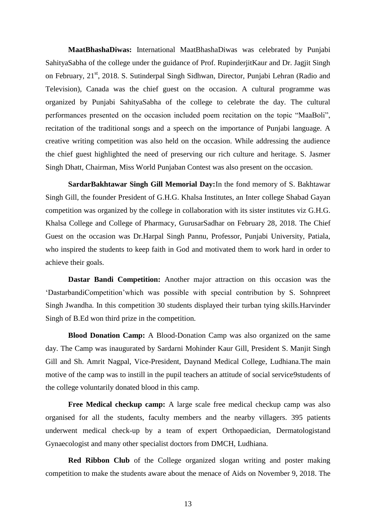**MaatBhashaDiwas:** International MaatBhashaDiwas was celebrated by Punjabi SahityaSabha of the college under the guidance of Prof. RupinderjitKaur and Dr. Jagjit Singh on February, 21<sup>st</sup>, 2018. S. Sutinderpal Singh Sidhwan, Director, Punjabi Lehran (Radio and Television), Canada was the chief guest on the occasion. A cultural programme was organized by Punjabi SahityaSabha of the college to celebrate the day. The cultural performances presented on the occasion included poem recitation on the topic "MaaBoli", recitation of the traditional songs and a speech on the importance of Punjabi language. A creative writing competition was also held on the occasion. While addressing the audience the chief guest highlighted the need of preserving our rich culture and heritage. S. Jasmer Singh Dhatt, Chairman, Miss World Punjaban Contest was also present on the occasion.

**SardarBakhtawar Singh Gill Memorial Day:**In the fond memory of S. Bakhtawar Singh Gill, the founder President of G.H.G. Khalsa Institutes, an Inter college Shabad Gayan competition was organized by the college in collaboration with its sister institutes viz G.H.G. Khalsa College and College of Pharmacy, GurusarSadhar on February 28, 2018. The Chief Guest on the occasion was Dr.Harpal Singh Pannu, Professor, Punjabi University, Patiala, who inspired the students to keep faith in God and motivated them to work hard in order to achieve their goals.

**Dastar Bandi Competition:** Another major attraction on this occasion was the 'DastarbandiCompetition'which was possible with special contribution by S. Sohnpreet Singh Jwandha. In this competition 30 students displayed their turban tying skills.Harvinder Singh of B.Ed won third prize in the competition.

**Blood Donation Camp:** A Blood-Donation Camp was also organized on the same day. The Camp was inaugurated by Sardarni Mohinder Kaur Gill, President S. Manjit Singh Gill and Sh. Amrit Nagpal, Vice-President, Daynand Medical College, Ludhiana.The main motive of the camp was to instill in the pupil teachers an attitude of social service9students of the college voluntarily donated blood in this camp.

**Free Medical checkup camp:** A large scale free medical checkup camp was also organised for all the students, faculty members and the nearby villagers. 395 patients underwent medical check-up by a team of expert Orthopaedician, Dermatologistand Gynaecologist and many other specialist doctors from DMCH, Ludhiana.

**Red Ribbon Club** of the College organized slogan writing and poster making competition to make the students aware about the menace of Aids on November 9, 2018. The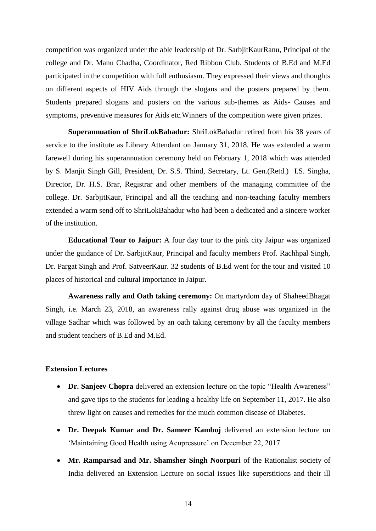competition was organized under the able leadership of Dr. SarbjitKaurRanu, Principal of the college and Dr. Manu Chadha, Coordinator, Red Ribbon Club. Students of B.Ed and M.Ed participated in the competition with full enthusiasm. They expressed their views and thoughts on different aspects of HIV Aids through the slogans and the posters prepared by them. Students prepared slogans and posters on the various sub-themes as Aids- Causes and symptoms, preventive measures for Aids etc.Winners of the competition were given prizes.

**Superannuation of ShriLokBahadur:** ShriLokBahadur retired from his 38 years of service to the institute as Library Attendant on January 31, 2018. He was extended a warm farewell during his superannuation ceremony held on February 1, 2018 which was attended by S. Manjit Singh Gill, President, Dr. S.S. Thind, Secretary, Lt. Gen.(Retd.) I.S. Singha, Director, Dr. H.S. Brar, Registrar and other members of the managing committee of the college. Dr. SarbjitKaur, Principal and all the teaching and non-teaching faculty members extended a warm send off to ShriLokBahadur who had been a dedicated and a sincere worker of the institution.

**Educational Tour to Jaipur:** A four day tour to the pink city Jaipur was organized under the guidance of Dr. SarbjitKaur, Principal and faculty members Prof. Rachhpal Singh, Dr. Pargat Singh and Prof. SatveerKaur. 32 students of B.Ed went for the tour and visited 10 places of historical and cultural importance in Jaipur.

**Awareness rally and Oath taking ceremony:** On martyrdom day of ShaheedBhagat Singh, i.e. March 23, 2018, an awareness rally against drug abuse was organized in the village Sadhar which was followed by an oath taking ceremony by all the faculty members and student teachers of B.Ed and M.Ed.

### **Extension Lectures**

- **Dr. Sanjeev Chopra** delivered an extension lecture on the topic "Health Awareness" and gave tips to the students for leading a healthy life on September 11, 2017. He also threw light on causes and remedies for the much common disease of Diabetes.
- **Dr. Deepak Kumar and Dr. Sameer Kamboj** delivered an extension lecture on 'Maintaining Good Health using Acupressure' on December 22, 2017
- **Mr. Ramparsad and Mr. Shamsher Singh Noorpuri** of the Rationalist society of India delivered an Extension Lecture on social issues like superstitions and their ill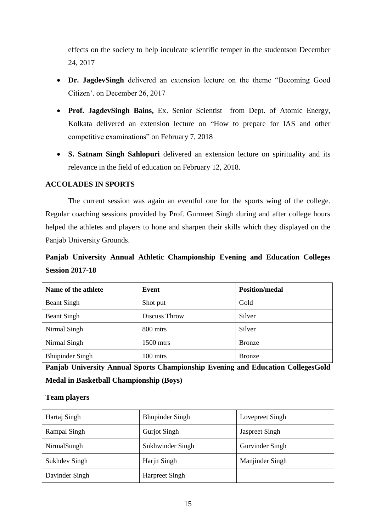effects on the society to help inculcate scientific temper in the studentson December 24, 2017

- **Dr. JagdevSingh** delivered an extension lecture on the theme "Becoming Good Citizen'. on December 26, 2017
- **Prof. JagdevSingh Bains,** Ex. Senior Scientist from Dept. of Atomic Energy, Kolkata delivered an extension lecture on "How to prepare for IAS and other competitive examinations" on February 7, 2018
- **S. Satnam Singh Sahlopuri** delivered an extension lecture on spirituality and its relevance in the field of education on February 12, 2018.

### **ACCOLADES IN SPORTS**

The current session was again an eventful one for the sports wing of the college. Regular coaching sessions provided by Prof. Gurmeet Singh during and after college hours helped the athletes and players to hone and sharpen their skills which they displayed on the Panjab University Grounds.

# **Panjab University Annual Athletic Championship Evening and Education Colleges Session 2017-18**

| Name of the athlete    | Event               | <b>Position/medal</b> |
|------------------------|---------------------|-----------------------|
| <b>Beant Singh</b>     | Shot put            | Gold                  |
| <b>Beant Singh</b>     | Discuss Throw       | Silver                |
| Nirmal Singh           | 800 mtrs            | Silver                |
| Nirmal Singh           | 1500 mtrs           | <b>Bronze</b>         |
| <b>Bhupinder Singh</b> | $100 \text{ m}$ trs | <b>Bronze</b>         |

**Panjab University Annual Sports Championship Evening and Education CollegesGold Medal in Basketball Championship (Boys)**

### **Team players**

| Hartaj Singh   | <b>Bhupinder Singh</b> | Lovepreet Singh       |
|----------------|------------------------|-----------------------|
| Rampal Singh   | <b>Gurjot Singh</b>    | <b>Jaspreet Singh</b> |
| NirmalSungh    | Sukhwinder Singh       | Gurvinder Singh       |
| Sukhdev Singh  | Harjit Singh           | Manjinder Singh       |
| Davinder Singh | <b>Harpreet Singh</b>  |                       |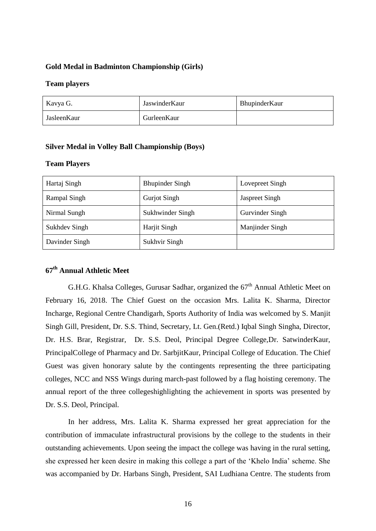#### **Gold Medal in Badminton Championship (Girls)**

#### **Team players**

| Kavya G.    | JaswinderKaur | BhupinderKaur |
|-------------|---------------|---------------|
| JasleenKaur | GurleenKaur   |               |

#### **Silver Medal in Volley Ball Championship (Boys)**

### **Team Players**

| Hartaj Singh   | <b>Bhupinder Singh</b> | Lovepreet Singh       |
|----------------|------------------------|-----------------------|
| Rampal Singh   | <b>Gurjot Singh</b>    | <b>Jaspreet Singh</b> |
| Nirmal Sungh   | Sukhwinder Singh       | Gurvinder Singh       |
| Sukhdev Singh  | Harjit Singh           | Manjinder Singh       |
| Davinder Singh | Sukhvir Singh          |                       |

# **67th Annual Athletic Meet**

G.H.G. Khalsa Colleges, Gurusar Sadhar, organized the  $67<sup>th</sup>$  Annual Athletic Meet on February 16, 2018. The Chief Guest on the occasion Mrs. Lalita K. Sharma, Director Incharge, Regional Centre Chandigarh, Sports Authority of India was welcomed by S. Manjit Singh Gill, President, Dr. S.S. Thind, Secretary, Lt. Gen.(Retd.) Iqbal Singh Singha, Director, Dr. H.S. Brar, Registrar, Dr. S.S. Deol, Principal Degree College,Dr. SatwinderKaur, PrincipalCollege of Pharmacy and Dr. SarbjitKaur, Principal College of Education. The Chief Guest was given honorary salute by the contingents representing the three participating colleges, NCC and NSS Wings during march-past followed by a flag hoisting ceremony. The annual report of the three collegeshighlighting the achievement in sports was presented by Dr. S.S. Deol, Principal.

In her address, Mrs. Lalita K. Sharma expressed her great appreciation for the contribution of immaculate infrastructural provisions by the college to the students in their outstanding achievements. Upon seeing the impact the college was having in the rural setting, she expressed her keen desire in making this college a part of the 'Khelo India' scheme. She was accompanied by Dr. Harbans Singh, President, SAI Ludhiana Centre. The students from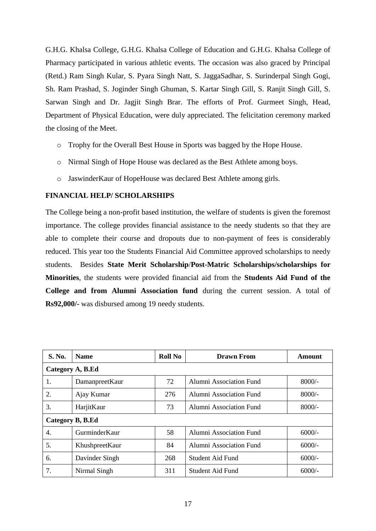G.H.G. Khalsa College, G.H.G. Khalsa College of Education and G.H.G. Khalsa College of Pharmacy participated in various athletic events. The occasion was also graced by Principal (Retd.) Ram Singh Kular, S. Pyara Singh Natt, S. JaggaSadhar, S. Surinderpal Singh Gogi, Sh. Ram Prashad, S. Joginder Singh Ghuman, S. Kartar Singh Gill, S. Ranjit Singh Gill, S. Sarwan Singh and Dr. Jagjit Singh Brar. The efforts of Prof. Gurmeet Singh, Head, Department of Physical Education, were duly appreciated. The felicitation ceremony marked the closing of the Meet.

- o Trophy for the Overall Best House in Sports was bagged by the Hope House.
- o Nirmal Singh of Hope House was declared as the Best Athlete among boys.
- o JaswinderKaur of HopeHouse was declared Best Athlete among girls.

### **FINANCIAL HELP/ SCHOLARSHIPS**

The College being a non-profit based institution, the welfare of students is given the foremost importance. The college provides financial assistance to the needy students so that they are able to complete their course and dropouts due to non-payment of fees is considerably reduced. This year too the Students Financial Aid Committee approved scholarships to needy students. Besides **State Merit Scholarship**/**Post-Matric Scholarships/scholarships for Minorities**, the students were provided financial aid from the **Students Aid Fund of the College and from Alumni Association fund** during the current session. A total of **Rs92,000/-** was disbursed among 19 needy students.

| <b>S. No.</b>    | <b>Name</b>    | <b>Roll No</b> | <b>Drawn From</b>              | Amount   |
|------------------|----------------|----------------|--------------------------------|----------|
| Category A, B.Ed |                |                |                                |          |
| 1.               | DamanpreetKaur | 72             | Alumni Association Fund        | $8000/-$ |
| 2.               | Ajay Kumar     | 276            | Alumni Association Fund        | $8000/-$ |
| 3.               | HarjitKaur     | 73             | Alumni Association Fund        | $8000/-$ |
| Category B, B.Ed |                |                |                                |          |
| 4.               | GurminderKaur  | 58             | <b>Alumni Association Fund</b> | $6000/-$ |
| 5.               | KhushpreetKaur | 84             | Alumni Association Fund        | $6000/-$ |
| 6.               | Davinder Singh | 268            | <b>Student Aid Fund</b>        | $6000/-$ |
| 7.               | Nirmal Singh   | 311            | <b>Student Aid Fund</b>        | $6000/-$ |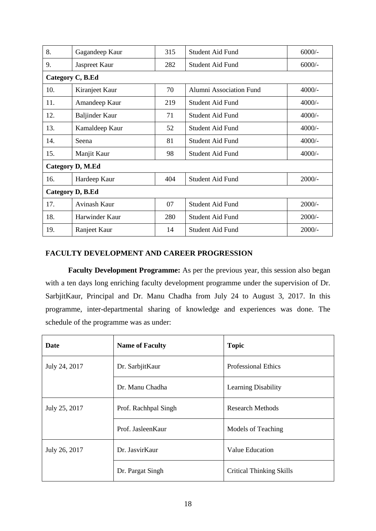| 8.               | Gagandeep Kaur   | 315 | Student Aid Fund        | $6000/-$ |
|------------------|------------------|-----|-------------------------|----------|
| 9.               | Jaspreet Kaur    | 282 | Student Aid Fund        | $6000/-$ |
|                  | Category C, B.Ed |     |                         |          |
| 10.              | Kiranjeet Kaur   | 70  | Alumni Association Fund | $4000/-$ |
| 11.              | Amandeep Kaur    | 219 | Student Aid Fund        | $4000/-$ |
| 12.              | Baljinder Kaur   | 71  | <b>Student Aid Fund</b> | $4000/-$ |
| 13.              | Kamaldeep Kaur   | 52  | <b>Student Aid Fund</b> | $4000/-$ |
| 14.              | Seena            | 81  | Student Aid Fund        | $4000/-$ |
| 15.              | Manjit Kaur      | 98  | Student Aid Fund        | $4000/-$ |
| Category D, M.Ed |                  |     |                         |          |
| 16.              | Hardeep Kaur     | 404 | <b>Student Aid Fund</b> | $2000/-$ |
| Category D, B.Ed |                  |     |                         |          |
| 17.              | Avinash Kaur     | 07  | <b>Student Aid Fund</b> | $2000/-$ |
| 18.              | Harwinder Kaur   | 280 | <b>Student Aid Fund</b> | $2000/-$ |
| 19.              | Ranjeet Kaur     | 14  | <b>Student Aid Fund</b> | $2000/-$ |

## **FACULTY DEVELOPMENT AND CAREER PROGRESSION**

**Faculty Development Programme:** As per the previous year, this session also began with a ten days long enriching faculty development programme under the supervision of Dr. SarbjitKaur, Principal and Dr. Manu Chadha from July 24 to August 3, 2017. In this programme, inter-departmental sharing of knowledge and experiences was done. The schedule of the programme was as under:

| Date          | <b>Name of Faculty</b> | <b>Topic</b>                    |
|---------------|------------------------|---------------------------------|
| July 24, 2017 | Dr. SarbjitKaur        | <b>Professional Ethics</b>      |
|               | Dr. Manu Chadha        | Learning Disability             |
| July 25, 2017 | Prof. Rachhpal Singh   | <b>Research Methods</b>         |
|               | Prof. JasleenKaur      | <b>Models of Teaching</b>       |
| July 26, 2017 | Dr. JasvirKaur         | Value Education                 |
|               | Dr. Pargat Singh       | <b>Critical Thinking Skills</b> |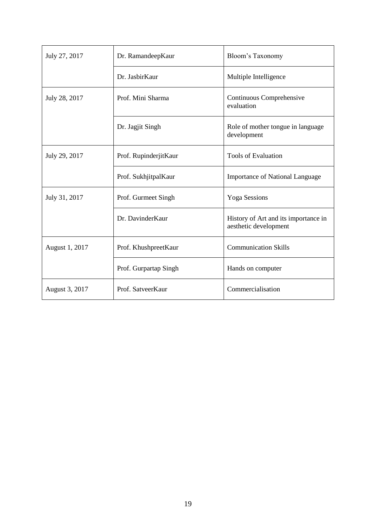| July 27, 2017  | Dr. RamandeepKaur     | Bloom's Taxonomy                                              |
|----------------|-----------------------|---------------------------------------------------------------|
|                | Dr. JasbirKaur        | Multiple Intelligence                                         |
| July 28, 2017  | Prof. Mini Sharma     | Continuous Comprehensive<br>evaluation                        |
|                | Dr. Jagjit Singh      | Role of mother tongue in language<br>development              |
| July 29, 2017  | Prof. RupinderjitKaur | <b>Tools of Evaluation</b>                                    |
|                | Prof. SukhjitpalKaur  | <b>Importance of National Language</b>                        |
| July 31, 2017  | Prof. Gurmeet Singh   | <b>Yoga Sessions</b>                                          |
|                | Dr. DavinderKaur      | History of Art and its importance in<br>aesthetic development |
| August 1, 2017 | Prof. KhushpreetKaur  | <b>Communication Skills</b>                                   |
|                | Prof. Gurpartap Singh | Hands on computer                                             |
| August 3, 2017 | Prof. SatveerKaur     | Commercialisation                                             |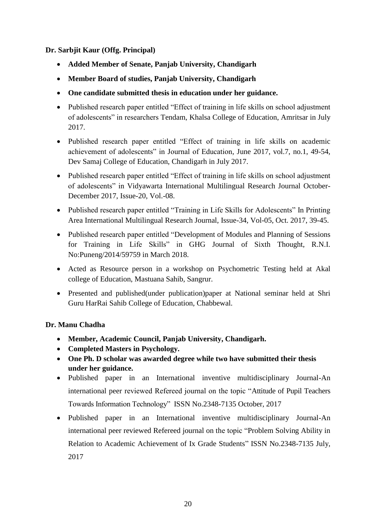# **Dr. Sarbjit Kaur (Offg. Principal)**

- **Added Member of Senate, Panjab University, Chandigarh**
- **Member Board of studies, Panjab University, Chandigarh**
- **One candidate submitted thesis in education under her guidance.**
- Published research paper entitled "Effect of training in life skills on school adjustment of adolescents" in researchers Tendam, Khalsa College of Education, Amritsar in July 2017.
- Published research paper entitled "Effect of training in life skills on academic achievement of adolescents" in Journal of Education, June 2017, vol.7, no.1, 49-54, Dev Samaj College of Education, Chandigarh in July 2017.
- Published research paper entitled "Effect of training in life skills on school adjustment of adolescents" in Vidyawarta International Multilingual Research Journal October-December 2017, Issue-20, Vol.-08.
- Published research paper entitled "Training in Life Skills for Adolescents" In Printing Area International Multilingual Research Journal, Issue-34, Vol-05, Oct. 2017, 39-45.
- Published research paper entitled "Development of Modules and Planning of Sessions for Training in Life Skills" in GHG Journal of Sixth Thought, R.N.I. No:Puneng/2014/59759 in March 2018.
- Acted as Resource person in a workshop on Psychometric Testing held at Akal college of Education, Mastuana Sahib, Sangrur.
- Presented and published(under publication)paper at National seminar held at Shri Guru HarRai Sahib College of Education, Chabbewal.

# **Dr. Manu Chadha**

- **Member, Academic Council, Panjab University, Chandigarh.**
- **Completed Masters in Psychology.**
- **One Ph. D scholar was awarded degree while two have submitted their thesis under her guidance.**
- Published paper in an International inventive multidisciplinary Journal-An international peer reviewed Refereed journal on the topic "Attitude of Pupil Teachers Towards Information Technology" ISSN No.2348-7135 October, 2017
- Published paper in an International inventive multidisciplinary Journal-An international peer reviewed Refereed journal on the topic "Problem Solving Ability in Relation to Academic Achievement of Ix Grade Students" ISSN No.2348-7135 July, 2017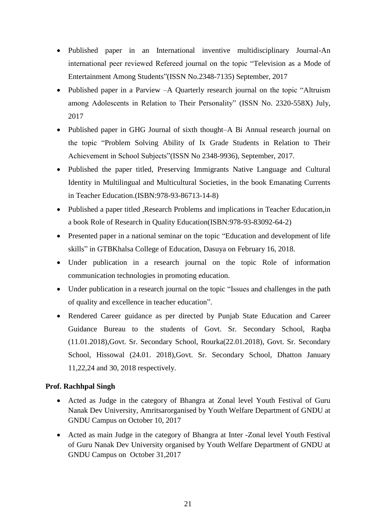- Published paper in an International inventive multidisciplinary Journal-An international peer reviewed Refereed journal on the topic "Television as a Mode of Entertainment Among Students"(ISSN No.2348-7135) September, 2017
- Published paper in a Parview –A Quarterly research journal on the topic "Altruism" among Adolescents in Relation to Their Personality" (ISSN No. 2320-558X) July, 2017
- Published paper in GHG Journal of sixth thought–A Bi Annual research journal on the topic "Problem Solving Ability of Ix Grade Students in Relation to Their Achievement in School Subjects"(ISSN No 2348-9936), September, 2017.
- Published the paper titled, Preserving Immigrants Native Language and Cultural Identity in Multilingual and Multicultural Societies, in the book Emanating Currents in Teacher Education.(ISBN:978-93-86713-14-8)
- Published a paper titled ,Research Problems and implications in Teacher Education,in a book Role of Research in Quality Education(ISBN:978-93-83092-64-2)
- Presented paper in a national seminar on the topic "Education and development of life skills" in GTBKhalsa College of Education, Dasuya on February 16, 2018.
- Under publication in a research journal on the topic Role of information communication technologies in promoting education.
- Under publication in a research journal on the topic "Issues and challenges in the path of quality and excellence in teacher education".
- Rendered Career guidance as per directed by Punjab State Education and Career Guidance Bureau to the students of Govt. Sr. Secondary School, Raqba (11.01.2018),Govt. Sr. Secondary School, Rourka(22.01.2018), Govt. Sr. Secondary School, Hissowal (24.01. 2018),Govt. Sr. Secondary School, Dhatton January 11,22,24 and 30, 2018 respectively.

## **Prof. Rachhpal Singh**

- Acted as Judge in the category of Bhangra at Zonal level Youth Festival of Guru Nanak Dev University, Amritsarorganised by Youth Welfare Department of GNDU at GNDU Campus on October 10, 2017
- Acted as main Judge in the category of Bhangra at Inter -Zonal level Youth Festival of Guru Nanak Dev University organised by Youth Welfare Department of GNDU at GNDU Campus on October 31,2017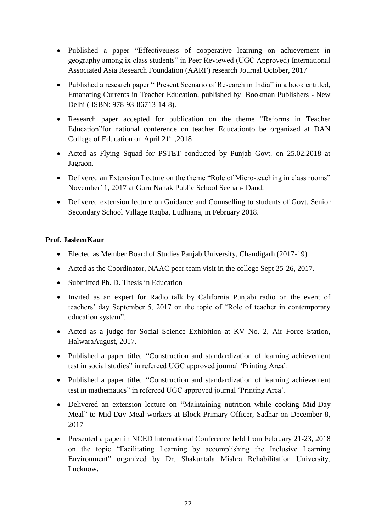- Published a paper "Effectiveness of cooperative learning on achievement in geography among ix class students" in Peer Reviewed (UGC Approved) International Associated Asia Research Foundation (AARF) research Journal October, 2017
- Published a research paper " Present Scenario of Research in India" in a book entitled, Emanating Currents in Teacher Education, published by Bookman Publishers - New Delhi ( ISBN: 978-93-86713-14-8).
- Research paper accepted for publication on the theme "Reforms in Teacher Education"for national conference on teacher Educationto be organized at DAN College of Education on April  $21<sup>st</sup>$ , 2018
- Acted as Flying Squad for PSTET conducted by Punjab Govt. on 25.02.2018 at Jagraon.
- Delivered an Extension Lecture on the theme "Role of Micro-teaching in class rooms" November11, 2017 at Guru Nanak Public School Seehan- Daud.
- Delivered extension lecture on Guidance and Counselling to students of Govt. Senior Secondary School Village Raqba, Ludhiana, in February 2018.

# **Prof. JasleenKaur**

- Elected as Member Board of Studies Panjab University, Chandigarh (2017-19)
- Acted as the Coordinator, NAAC peer team visit in the college Sept 25-26, 2017.
- Submitted Ph. D. Thesis in Education
- Invited as an expert for Radio talk by California Punjabi radio on the event of teachers' day September 5, 2017 on the topic of "Role of teacher in contemporary education system".
- Acted as a judge for Social Science Exhibition at KV No. 2, Air Force Station, HalwaraAugust, 2017.
- Published a paper titled "Construction and standardization of learning achievement test in social studies" in refereed UGC approved journal 'Printing Area'.
- Published a paper titled "Construction and standardization of learning achievement test in mathematics" in refereed UGC approved journal 'Printing Area'.
- Delivered an extension lecture on "Maintaining nutrition while cooking Mid-Day Meal" to Mid-Day Meal workers at Block Primary Officer, Sadhar on December 8, 2017
- Presented a paper in NCED International Conference held from February 21-23, 2018 on the topic "Facilitating Learning by accomplishing the Inclusive Learning Environment" organized by Dr. Shakuntala Mishra Rehabilitation University, Lucknow.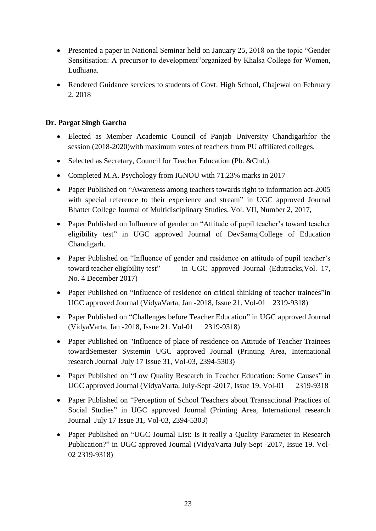- Presented a paper in National Seminar held on January 25, 2018 on the topic "Gender" Sensitisation: A precursor to development"organized by Khalsa College for Women, Ludhiana.
- Rendered Guidance services to students of Govt. High School, Chajewal on February 2, 2018

# **Dr. Pargat Singh Garcha**

- Elected as Member Academic Council of Panjab University Chandigarhfor the session (2018-2020)with maximum votes of teachers from PU affiliated colleges.
- Selected as Secretary, Council for Teacher Education (Pb. &Chd.)
- Completed M.A. Psychology from IGNOU with 71.23% marks in 2017
- Paper Published on "Awareness among teachers towards right to information act-2005 with special reference to their experience and stream" in UGC approved Journal Bhatter College Journal of Multidisciplinary Studies, Vol. VII, Number 2, 2017,
- Paper Published on Influence of gender on "Attitude of pupil teacher's toward teacher eligibility test" in UGC approved Journal of DevSamajCollege of Education Chandigarh.
- Paper Published on "Influence of gender and residence on attitude of pupil teacher's toward teacher eligibility test" in UGC approved Journal (Edutracks,Vol. 17, No. 4 December 2017)
- Paper Published on "Influence of residence on critical thinking of teacher trainees" in UGC approved Journal (VidyaVarta, Jan -2018, Issue 21. Vol-01 2319-9318)
- Paper Published on "Challenges before Teacher Education" in UGC approved Journal (VidyaVarta, Jan -2018, Issue 21. Vol-01 2319-9318)
- Paper Published on "Influence of place of residence on Attitude of Teacher Trainees towardSemester Systemin UGC approved Journal (Printing Area, International research Journal July 17 Issue 31, Vol-03, 2394-5303)
- Paper Published on "Low Quality Research in Teacher Education: Some Causes" in UGC approved Journal (VidyaVarta, July-Sept -2017, Issue 19. Vol-01 2319-9318
- Paper Published on "Perception of School Teachers about Transactional Practices of Social Studies" in UGC approved Journal (Printing Area, International research Journal July 17 Issue 31, Vol-03, 2394-5303)
- Paper Published on "UGC Journal List: Is it really a Quality Parameter in Research Publication?" in UGC approved Journal (VidyaVarta July-Sept -2017, Issue 19. Vol-02 2319-9318)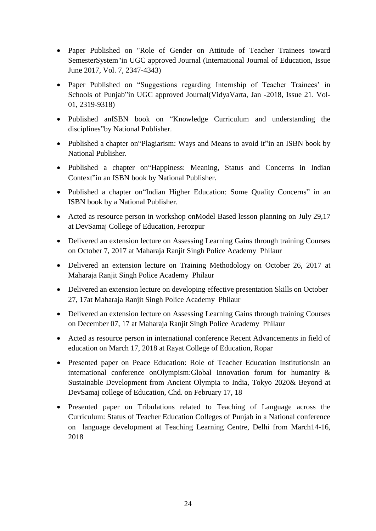- Paper Published on "Role of Gender on Attitude of Teacher Trainees toward SemesterSystem"in UGC approved Journal (International Journal of Education, Issue June 2017, Vol. 7, 2347-4343)
- Paper Published on "Suggestions regarding Internship of Teacher Trainees' in Schools of Punjab"in UGC approved Journal(VidyaVarta, Jan -2018, Issue 21. Vol-01, 2319-9318)
- Published anISBN book on "Knowledge Curriculum and understanding the disciplines"by National Publisher.
- Published a chapter on "Plagiarism: Ways and Means to avoid it" in an ISBN book by National Publisher.
- Published a chapter on "Happiness: Meaning, Status and Concerns in Indian Context"in an ISBN book by National Publisher.
- Published a chapter on"Indian Higher Education: Some Quality Concerns" in an ISBN book by a National Publisher.
- Acted as resource person in workshop onModel Based lesson planning on July 29,17 at DevSamaj College of Education, Ferozpur
- Delivered an extension lecture on Assessing Learning Gains through training Courses on October 7, 2017 at Maharaja Ranjit Singh Police Academy Philaur
- Delivered an extension lecture on Training Methodology on October 26, 2017 at Maharaja Ranjit Singh Police Academy Philaur
- Delivered an extension lecture on developing effective presentation Skills on October 27, 17at Maharaja Ranjit Singh Police Academy Philaur
- Delivered an extension lecture on Assessing Learning Gains through training Courses on December 07, 17 at Maharaja Ranjit Singh Police Academy Philaur
- Acted as resource person in international conference Recent Advancements in field of education on March 17, 2018 at Rayat College of Education, Ropar
- Presented paper on Peace Education: Role of Teacher Education Institutionsin an international conference onOlympism:Global Innovation forum for humanity & Sustainable Development from Ancient Olympia to India, Tokyo 2020& Beyond at DevSamaj college of Education, Chd. on February 17, 18
- Presented paper on Tribulations related to Teaching of Language across the Curriculum: Status of Teacher Education Colleges of Punjab in a National conference on language development at Teaching Learning Centre, Delhi from March14-16, 2018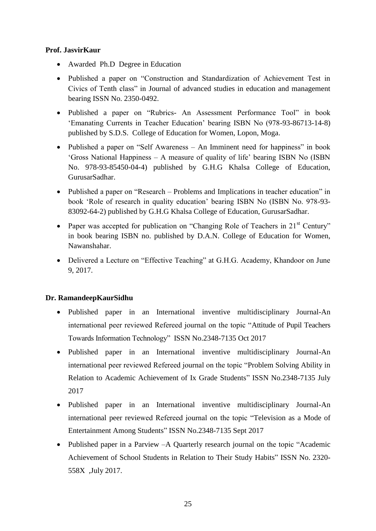# **Prof. JasvirKaur**

- Awarded Ph.D Degree in Education
- Published a paper on "Construction and Standardization of Achievement Test in Civics of Tenth class" in Journal of advanced studies in education and management bearing ISSN No. 2350-0492.
- Published a paper on "Rubrics- An Assessment Performance Tool" in book 'Emanating Currents in Teacher Education' bearing ISBN No (978-93-86713-14-8) published by S.D.S. College of Education for Women, Lopon, Moga.
- Published a paper on "Self Awareness An Imminent need for happiness" in book 'Gross National Happiness – A measure of quality of life' bearing ISBN No (ISBN No. 978-93-85450-04-4) published by G.H.G Khalsa College of Education, GurusarSadhar.
- Published a paper on "Research Problems and Implications in teacher education" in book 'Role of research in quality education' bearing ISBN No (ISBN No. 978-93- 83092-64-2) published by G.H.G Khalsa College of Education, GurusarSadhar.
- Paper was accepted for publication on "Changing Role of Teachers in  $21<sup>st</sup>$  Century" in book bearing ISBN no. published by D.A.N. College of Education for Women, Nawanshahar.
- Delivered a Lecture on "Effective Teaching" at G.H.G. Academy, Khandoor on June 9, 2017.

# **Dr. RamandeepKaurSidhu**

- Published paper in an International inventive multidisciplinary Journal-An international peer reviewed Refereed journal on the topic "Attitude of Pupil Teachers Towards Information Technology" ISSN No.2348-7135 Oct 2017
- Published paper in an International inventive multidisciplinary Journal-An international peer reviewed Refereed journal on the topic "Problem Solving Ability in Relation to Academic Achievement of Ix Grade Students" ISSN No.2348-7135 July 2017
- Published paper in an International inventive multidisciplinary Journal-An international peer reviewed Refereed journal on the topic "Television as a Mode of Entertainment Among Students" ISSN No.2348-7135 Sept 2017
- Published paper in a Parview –A Quarterly research journal on the topic "Academic Achievement of School Students in Relation to Their Study Habits" ISSN No. 2320- 558X ,July 2017.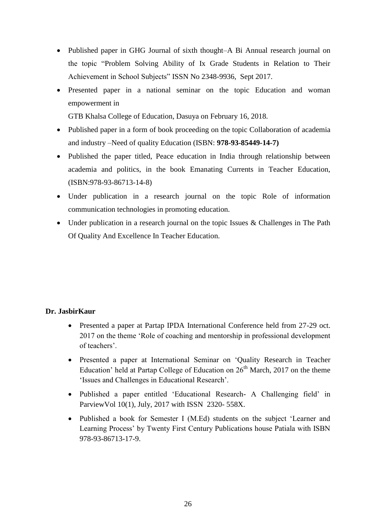- Published paper in GHG Journal of sixth thought–A Bi Annual research journal on the topic "Problem Solving Ability of Ix Grade Students in Relation to Their Achievement in School Subjects" ISSN No 2348-9936, Sept 2017.
- Presented paper in a national seminar on the topic Education and woman empowerment in

GTB Khalsa College of Education, Dasuya on February 16, 2018.

- Published paper in a form of book proceeding on the topic Collaboration of academia and industry –Need of quality Education (ISBN: **978-93-85449-14-7)**
- Published the paper titled, Peace education in India through relationship between academia and politics, in the book Emanating Currents in Teacher Education, (ISBN:978-93-86713-14-8)
- Under publication in a research journal on the topic Role of information communication technologies in promoting education.
- Under publication in a research journal on the topic Issues & Challenges in The Path Of Quality And Excellence In Teacher Education.

# **Dr. JasbirKaur**

- Presented a paper at Partap IPDA International Conference held from 27-29 oct. 2017 on the theme 'Role of coaching and mentorship in professional development of teachers'.
- Presented a paper at International Seminar on 'Quality Research in Teacher Education' held at Partap College of Education on  $26<sup>th</sup>$  March, 2017 on the theme 'Issues and Challenges in Educational Research'.
- Published a paper entitled 'Educational Research- A Challenging field' in ParviewVol 10(1), July, 2017 with ISSN 2320- 558X.
- Published a book for Semester I (M.Ed) students on the subject 'Learner and Learning Process' by Twenty First Century Publications house Patiala with ISBN 978-93-86713-17-9.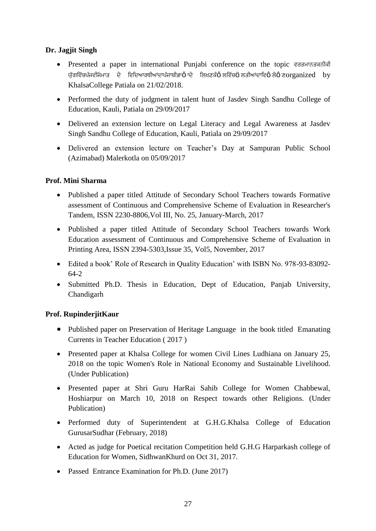# **Dr. Jagjit Singh**

- Presented a paper in international Punjabi conference on the topic easy rosald ਯੱਗਵਿੱਚਪੰਜਵੀਜੋਮਾਤ ਦੇ ਵਿਦਿਆਰਥੀਆਂਦਾਪੰਜਾਬੀਭਾ $\mathbf{\hat{o}}$ ਾਦੇ ਲਿਖਣਕੌ $\mathbf{\hat{o}}$ ਲਵਿੱਚ $\mathbf{\ddot{o}}$ ਲਤੀਆਂਦਾਵਿ $\mathbf{\hat{o}}$  ਲੇ $\mathbf{\hat{o}}$  ਣ $\text{or} \text{aanized}$  by KhalsaCollege Patiala on 21/02/2018.
- Performed the duty of judgment in talent hunt of Jasdev Singh Sandhu College of Education, Kauli, Patiala on 29/09/2017
- Delivered an extension lecture on Legal Literacy and Legal Awareness at Jasdev Singh Sandhu College of Education, Kauli, Patiala on 29/09/2017
- Delivered an extension lecture on Teacher's Day at Sampuran Public School (Azimabad) Malerkotla on 05/09/2017

# **Prof. Mini Sharma**

- Published a paper titled Attitude of Secondary School Teachers towards Formative assessment of Continuous and Comprehensive Scheme of Evaluation in Researcher's Tandem, ISSN 2230-8806,Vol III, No. 25, January-March, 2017
- Published a paper titled Attitude of Secondary School Teachers towards Work Education assessment of Continuous and Comprehensive Scheme of Evaluation in Printing Area, ISSN 2394-5303,Issue 35, Vol5, November, 2017
- Edited a book' Role of Research in Quality Education' with ISBN No. 978-93-83092- 64-2
- Submitted Ph.D. Thesis in Education, Dept of Education, Panjab University, Chandigarh

# **Prof. RupinderjitKaur**

- Published paper on Preservation of Heritage Language in the book titled Emanating Currents in Teacher Education ( 2017 )
- Presented paper at Khalsa College for women Civil Lines Ludhiana on January 25, 2018 on the topic Women's Role in National Economy and Sustainable Livelihood. (Under Publication)
- Presented paper at Shri Guru HarRai Sahib College for Women Chabbewal, Hoshiarpur on March 10, 2018 on Respect towards other Religions. (Under Publication)
- Performed duty of Superintendent at G.H.G.Khalsa College of Education GurusarSudhar (February, 2018)
- Acted as judge for Poetical recitation Competition held G.H.G Harparkash college of Education for Women, SidhwanKhurd on Oct 31, 2017.
- Passed Entrance Examination for Ph.D. (June 2017)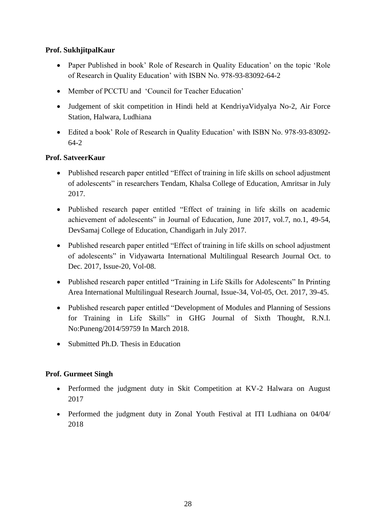# **Prof. SukhjitpalKaur**

- Paper Published in book' Role of Research in Quality Education' on the topic 'Role of Research in Quality Education' with ISBN No. 978-93-83092-64-2
- Member of PCCTU and 'Council for Teacher Education'
- Judgement of skit competition in Hindi held at KendriyaVidyalya No-2, Air Force Station, Halwara, Ludhiana
- Edited a book' Role of Research in Quality Education' with ISBN No. 978-93-83092- 64-2

# **Prof. SatveerKaur**

- Published research paper entitled "Effect of training in life skills on school adjustment of adolescents" in researchers Tendam, Khalsa College of Education, Amritsar in July 2017.
- Published research paper entitled "Effect of training in life skills on academic achievement of adolescents" in Journal of Education, June 2017, vol.7, no.1, 49-54, DevSamaj College of Education, Chandigarh in July 2017.
- Published research paper entitled "Effect of training in life skills on school adjustment of adolescents" in Vidyawarta International Multilingual Research Journal Oct. to Dec. 2017, Issue-20, Vol-08.
- Published research paper entitled "Training in Life Skills for Adolescents" In Printing Area International Multilingual Research Journal, Issue-34, Vol-05, Oct. 2017, 39-45.
- Published research paper entitled "Development of Modules and Planning of Sessions for Training in Life Skills" in GHG Journal of Sixth Thought, R.N.I. No:Puneng/2014/59759 In March 2018.
- Submitted Ph.D. Thesis in Education

# **Prof. Gurmeet Singh**

- Performed the judgment duty in Skit Competition at KV-2 Halwara on August 2017
- Performed the judgment duty in Zonal Youth Festival at ITI Ludhiana on 04/04/ 2018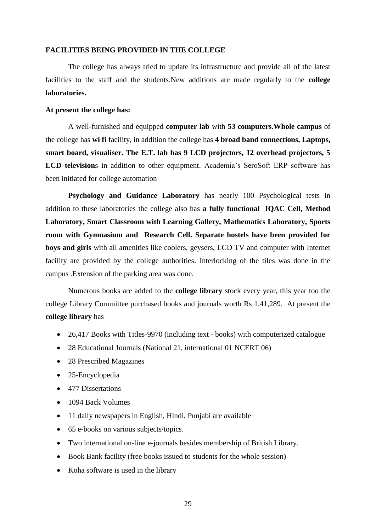#### **FACILITIES BEING PROVIDED IN THE COLLEGE**

The college has always tried to update its infrastructure and provide all of the latest facilities to the staff and the students.New additions are made regularly to the **college laboratories.**

#### **At present the college has:**

A well-furnished and equipped **computer lab** with **53 computers**.**Whole campus** of the college has **wi fi** facility, in addition the college has **4 broad band connections, Laptops, smart board, visualiser. The E.T. lab has 9 LCD projectors, 12 overhead projectors, 5 LCD television**s in addition to other equipment. Academia's SeroSoft ERP software has been initiated for college automation

**Psychology and Guidance Laboratory** has nearly 100 Psychological tests in addition to these laboratories the college also has **a fully functional IQAC Cell, Method Laboratory, Smart Classroom with Learning Gallery, Mathematics Laboratory, Sports room with Gymnasium and Research Cell. Separate hostels have been provided for boys and girls** with all amenities like coolers, geysers, LCD TV and computer with Internet facility are provided by the college authorities. Interlocking of the tiles was done in the campus .Extension of the parking area was done.

Numerous books are added to the **college library** stock every year, this year too the college Library Committee purchased books and journals worth Rs 1,41,289. At present the **college library** has

- 26,417 Books with Titles-9970 (including text books) with computerized catalogue
- 28 Educational Journals (National 21, international 01 NCERT 06)
- 28 Prescribed Magazines
- 25-Encyclopedia
- 477 Dissertations
- 1094 Back Volumes
- 11 daily newspapers in English, Hindi, Punjabi are available
- 65 e-books on various subjects/topics.
- Two international on-line e-journals besides membership of British Library.
- Book Bank facility (free books issued to students for the whole session)
- Koha software is used in the library